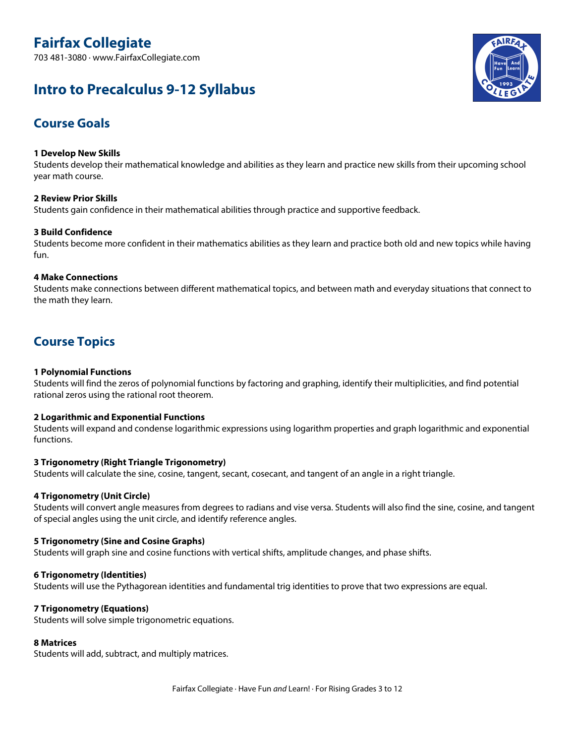# **Fairfax Collegiate**

703 481-3080 · www.FairfaxCollegiate.com

## **Intro to Precalculus 9-12 Syllabus**



### **Course Goals**

#### **1 Develop New Skills**

Students develop their mathematical knowledge and abilities as they learn and practice new skills from their upcoming school year math course.

#### **2 Review Prior Skills**

Students gain confidence in their mathematical abilities through practice and supportive feedback.

#### **3 Build Confidence**

Students become more confident in their mathematics abilities as they learn and practice both old and new topics while having fun.

#### **4 Make Connections**

Students make connections between different mathematical topics, and between math and everyday situations that connect to the math they learn.

### **Course Topics**

#### **1 Polynomial Functions**

Students will find the zeros of polynomial functions by factoring and graphing, identify their multiplicities, and find potential rational zeros using the rational root theorem.

#### **2 Logarithmic and Exponential Functions**

Students will expand and condense logarithmic expressions using logarithm properties and graph logarithmic and exponential functions.

#### **3 Trigonometry (Right Triangle Trigonometry)**

Students will calculate the sine, cosine, tangent, secant, cosecant, and tangent of an angle in a right triangle.

#### **4 Trigonometry (Unit Circle)**

Students will convert angle measures from degrees to radians and vise versa. Students will also find the sine, cosine, and tangent of special angles using the unit circle, and identify reference angles.

#### **5 Trigonometry (Sine and Cosine Graphs)**

Students will graph sine and cosine functions with vertical shifts, amplitude changes, and phase shifts.

#### **6 Trigonometry (Identities)**

Students will use the Pythagorean identities and fundamental trig identities to prove that two expressions are equal.

#### **7 Trigonometry (Equations)**

Students will solve simple trigonometric equations.

#### **8 Matrices**

Students will add, subtract, and multiply matrices.